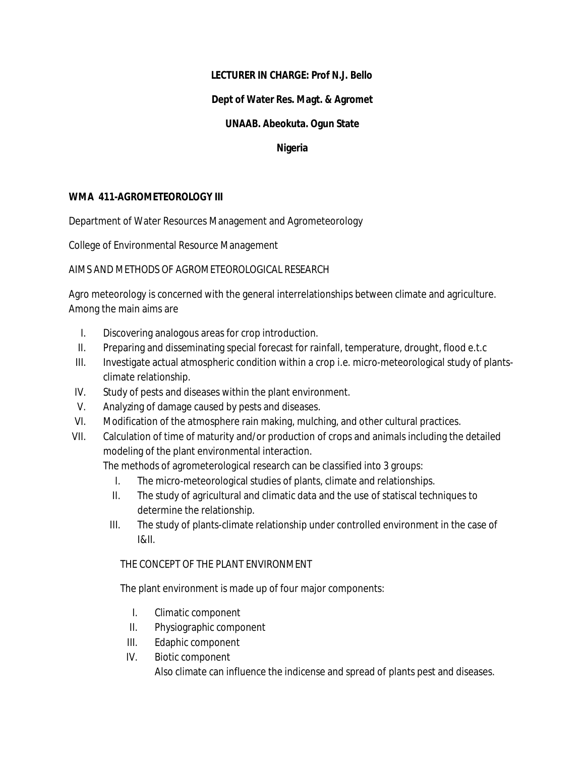# **LECTURER IN CHARGE: Prof N.J. Bello**

## **Dept of Water Res. Magt. & Agromet**

## **UNAAB. Abeokuta. Ogun State**

#### **Nigeria**

## **WMA 411-AGROMETEOROLOGY III**

Department of Water Resources Management and Agrometeorology

College of Environmental Resource Management

AIMS AND METHODS OF AGROMETEOROLOGICAL RESEARCH

Agro meteorology is concerned with the general interrelationships between climate and agriculture. Among the main aims are

- I. Discovering analogous areas for crop introduction.
- II. Preparing and disseminating special forecast for rainfall, temperature, drought, flood e.t.c
- III. Investigate actual atmospheric condition within a crop i.e. micro-meteorological study of plantsclimate relationship.
- IV. Study of pests and diseases within the plant environment.
- V. Analyzing of damage caused by pests and diseases.
- VI. Modification of the atmosphere rain making, mulching, and other cultural practices.
- VII. Calculation of time of maturity and/or production of crops and animals including the detailed modeling of the plant environmental interaction.

The methods of agrometerological research can be classified into 3 groups:

- I. The micro-meteorological studies of plants, climate and relationships.
- II. The study of agricultural and climatic data and the use of statiscal techniques to determine the relationship.
- III. The study of plants-climate relationship under controlled environment in the case of I&II.

### THE CONCEPT OF THE PLANT ENVIRONMENT

The plant environment is made up of four major components:

- I. Climatic component
- II. Physiographic component
- III. Edaphic component
- IV. Biotic component

Also climate can influence the indicense and spread of plants pest and diseases.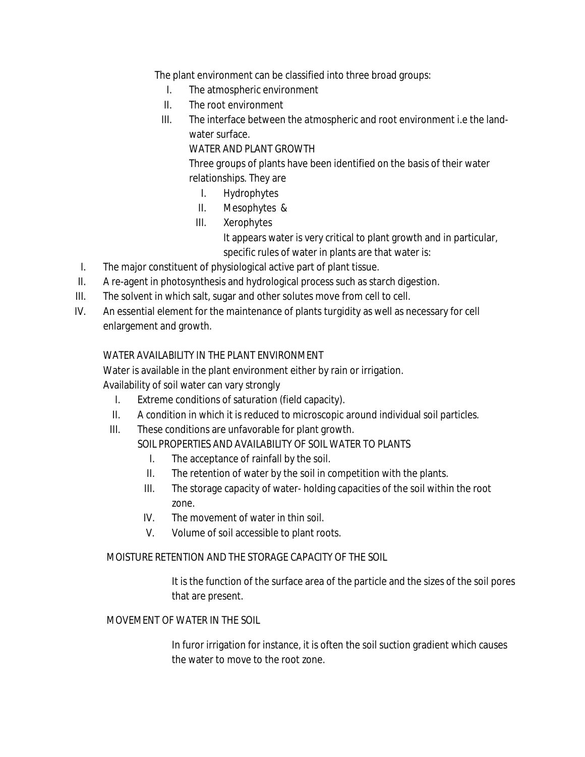The plant environment can be classified into three broad groups:

- I. The atmospheric environment
- II. The root environment
- III. The interface between the atmospheric and root environment i.e the landwater surface.

# WATER AND PLANT GROWTH

Three groups of plants have been identified on the basis of their water relationships. They are

- I. Hydrophytes
- II. Mesophytes &
- III. Xerophytes

It appears water is very critical to plant growth and in particular, specific rules of water in plants are that water is:

- I. The major constituent of physiological active part of plant tissue.
- II. A re-agent in photosynthesis and hydrological process such as starch digestion.
- III. The solvent in which salt, sugar and other solutes move from cell to cell.
- IV. An essential element for the maintenance of plants turgidity as well as necessary for cell enlargement and growth.

# WATER AVAILABILITY IN THE PLANT ENVIRONMENT

Water is available in the plant environment either by rain or irrigation. Availability of soil water can vary strongly

- I. Extreme conditions of saturation (field capacity).
- II. A condition in which it is reduced to microscopic around individual soil particles.
- III. These conditions are unfavorable for plant growth.

SOIL PROPERTIES AND AVAILABILITY OF SOIL WATER TO PLANTS.

- I. The acceptance of rainfall by the soil.
- II. The retention of water by the soil in competition with the plants.
- III. The storage capacity of water- holding capacities of the soil within the root zone.
- IV. The movement of water in thin soil.
- V. Volume of soil accessible to plant roots.

# MOISTURE RETENTION AND THE STORAGE CAPACITY OF THE SOIL

It is the function of the surface area of the particle and the sizes of the soil pores that are present.

### MOVEMENT OF WATER IN THE SOIL

In furor irrigation for instance, it is often the soil suction gradient which causes the water to move to the root zone.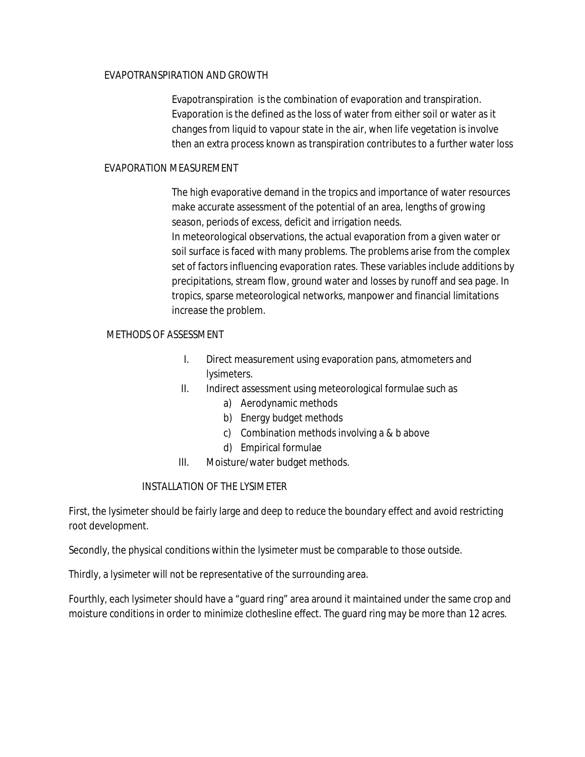### EVAPOTRANSPIRATION AND GROWTH

Evapotranspiration is the combination of evaporation and transpiration. Evaporation is the defined as the loss of water from either soil or water as it changes from liquid to vapour state in the air, when life vegetation is involve then an extra process known as transpiration contributes to a further water loss

#### EVAPORATION MEASUREMENT

The high evaporative demand in the tropics and importance of water resources make accurate assessment of the potential of an area, lengths of growing season, periods of excess, deficit and irrigation needs. In meteorological observations, the actual evaporation from a given water or soil surface is faced with many problems. The problems arise from the complex set of factors influencing evaporation rates. These variables include additions by precipitations, stream flow, ground water and losses by runoff and sea page. In tropics, sparse meteorological networks, manpower and financial limitations increase the problem.

#### METHODS OF ASSESSMENT

- I. Direct measurement using evaporation pans, atmometers and lysimeters.
- II. Indirect assessment using meteorological formulae such as
	- a) Aerodynamic methods
	- b) Energy budget methods
	- c) Combination methods involving a & b above
	- d) Empirical formulae
- III. Moisture/water budget methods.

### INSTALLATION OF THE LYSIMETER

First, the lysimeter should be fairly large and deep to reduce the boundary effect and avoid restricting root development.

Secondly, the physical conditions within the lysimeter must be comparable to those outside.

Thirdly, a lysimeter will not be representative of the surrounding area.

Fourthly, each lysimeter should have a "guard ring" area around it maintained under the same crop and moisture conditions in order to minimize clothesline effect. The guard ring may be more than 12 acres.